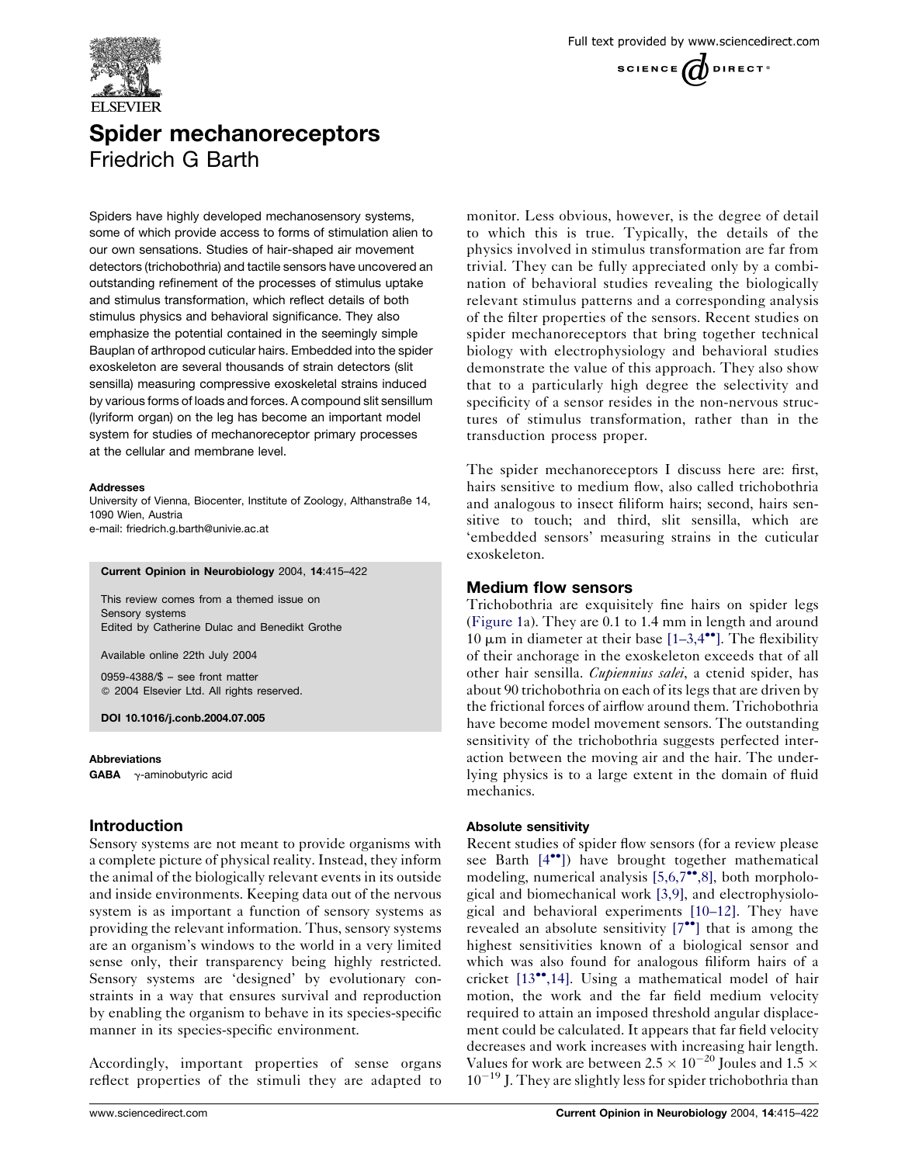

# Spider mechanoreceptors Friedrich G Barth

Spiders have highly developed mechanosensory systems, some of which provide access to forms of stimulation alien to our own sensations. Studies of hair-shaped air movement detectors (trichobothria) and tactile sensors have uncovered an outstanding refinement of the processes of stimulus uptake and stimulus transformation, which reflect details of both stimulus physics and behavioral significance. They also emphasize the potential contained in the seemingly simple Bauplan of arthropod cuticular hairs. Embedded into the spider exoskeleton are several thousands of strain detectors (slit sensilla) measuring compressive exoskeletal strains induced by various forms of loads and forces. A compound slit sensillum (lyriform organ) on the leg has become an important model system for studies of mechanoreceptor primary processes at the cellular and membrane level.

#### **Addresses**

University of Vienna, Biocenter, Institute of Zoology, Althanstraße 14, 1090 Wien, Austria e-mail: friedrich.g.barth@univie.ac.at

Current Opinion in Neurobiology 2004, 14:415–422

This review comes from a themed issue on Sensory systems Edited by Catherine Dulac and Benedikt Grothe

Available online 22th July 2004

0959-4388/\$ – see front matter 2004 Elsevier Ltd. All rights reserved.

DOI 10.1016/j.conb.2004.07.005

**Abbreviations GABA**  $\gamma$ -aminobutyric acid

# Introduction

Sensory systems are not meant to provide organisms with a complete picture of physical reality. Instead, they inform the animal of the biologically relevant events in its outside and inside environments. Keeping data out of the nervous system is as important a function of sensory systems as providing the relevant information. Thus, sensory systems are an organism's windows to the world in a very limited sense only, their transparency being highly restricted. Sensory systems are 'designed' by evolutionary constraints in a way that ensures survival and reproduction by enabling the organism to behave in its species-specific manner in its species-specific environment.

Accordingly, important properties of sense organs reflect properties of the stimuli they are adapted to monitor. Less obvious, however, is the degree of detail to which this is true. Typically, the details of the physics involved in stimulus transformation are far from trivial. They can be fully appreciated only by a combination of behavioral studies revealing the biologically relevant stimulus patterns and a corresponding analysis of the filter properties of the sensors. Recent studies on spider mechanoreceptors that bring together technical biology with electrophysiology and behavioral studies demonstrate the value of this approach. They also show that to a particularly high degree the selectivity and specificity of a sensor resides in the non-nervous structures of stimulus transformation, rather than in the transduction process proper.

The spider mechanoreceptors I discuss here are: first, hairs sensitive to medium flow, also called trichobothria and analogous to insect filiform hairs; second, hairs sensitive to touch; and third, slit sensilla, which are 'embedded sensors' measuring strains in the cuticular exoskeleton.

## Medium flow sensors

Trichobothria are exquisitely fine hairs on spider legs ([Figure 1](#page-1-0)a). They are 0.1 to 1.4 mm in length and around 10  $\mu$ m in diameter at their base [\[1–3,4](#page-6-0)<sup> $\bullet$ °</sup>[\].](#page-6-0) The flexibility of their anchorage in the exoskeleton exceeds that of all other hair sensilla. Cupiennius salei, a ctenid spider, has about 90 trichobothria on each of its legs that are driven by the frictional forces of airflow around them. Trichobothria have become model movement sensors. The outstanding sensitivity of the trichobothria suggests perfected interaction between the moving air and the hair. The underlying physics is to a large extent in the domain of fluid mechanics.

## Absolute sensitivity

Recent studies of spider flow sensors (for a review please see Barth  $[4^{\bullet\bullet}]$  $[4^{\bullet\bullet}]$  $[4^{\bullet\bullet}]$ ) have brought together mathematical modeling, numerical analysis  $[5,6,7^{\bullet\bullet},8]$  $[5,6,7^{\bullet\bullet},8]$ , both morphological and biomechanical work [\[3,9\],](#page-6-0) and electrophysiological and behavioral experiments [\[10–12\]](#page-6-0). They have revealed an absolute sensitivity  $[7^{\bullet\bullet}]$  $[7^{\bullet\bullet}]$  $[7^{\bullet\bullet}]$  that is among the highest sensitivities known of a biological sensor and which was also found for analogous filiform hairs of a cricket  $[13^{\bullet\bullet}, 14]$  $[13^{\bullet\bullet}, 14]$ . Using a mathematical model of hair motion, the work and the far field medium velocity required to attain an imposed threshold angular displacement could be calculated. It appears that far field velocity decreases and work increases with increasing hair length. Values for work are between 2.5  $\times$  10<sup>-20</sup> Joules and 1.5  $\times$  $10^{-19}$  J. They are slightly less for spider trichobothria than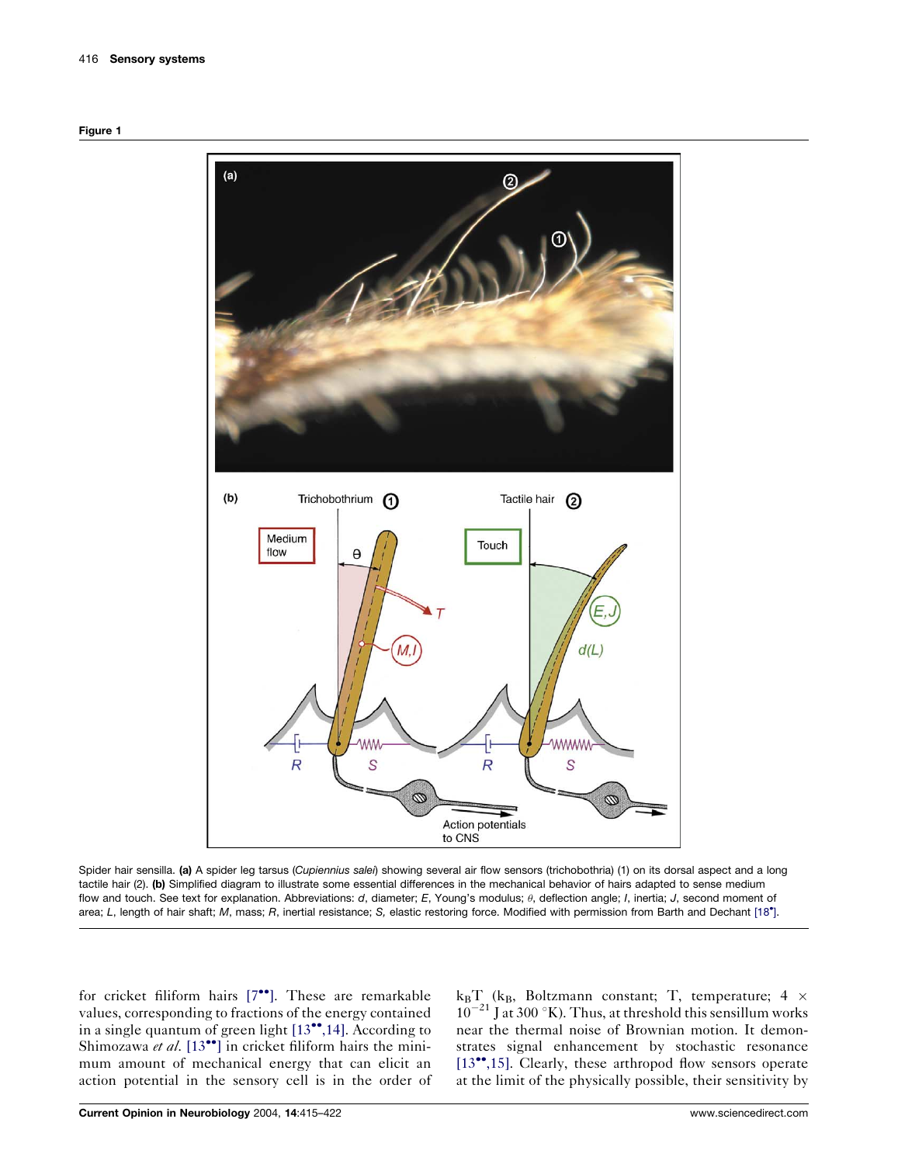<span id="page-1-0"></span>



Spider hair sensilla. (a) A spider leg tarsus (Cupiennius salei) showing several air flow sensors (trichobothria) (1) on its dorsal aspect and a long tactile hair (2). (b) Simplified diagram to illustrate some essential differences in the mechanical behavior of hairs adapted to sense medium flow and touch. See text for explanation. Abbreviations: d, diameter; E, Young's modulus;  $\theta$ , deflection angle; I, inertia; J, second moment of area; L, length of hair shaft; M, mass; R, inertial resistance; S, elastic restoring force. Modified with permission from Barth and Dechant [\[18](#page-6-0) [\].](#page-6-0)

for cricket filiform hairs  $[7^{\bullet\bullet}]$  $[7^{\bullet\bullet}]$  $[7^{\bullet\bullet}]$ . These are remarkable values, corresponding to fractions of the energy contained in a single quantum of green light  $[13\bullet,14]$  $[13\bullet,14]$ . According to Shimozawa et al.  $[13^{\bullet\bullet}]$  $[13^{\bullet\bullet}]$  $[13^{\bullet\bullet}]$  in cricket filiform hairs the minimum amount of mechanical energy that can elicit an action potential in the sensory cell is in the order of

 $k_BT$  ( $k_B$ , Boltzmann constant; T, temperature; 4  $\times$  $10^{-21}$  J at 300 °K). Thus, at threshold this sensillum works near the thermal noise of Brownian motion. It demonstrates signal enhancement by stochastic resonance [\[13](#page-6-0)<sup>\*\*</sup>[,15\].](#page-6-0) Clearly, these arthropod flow sensors operate at the limit of the physically possible, their sensitivity by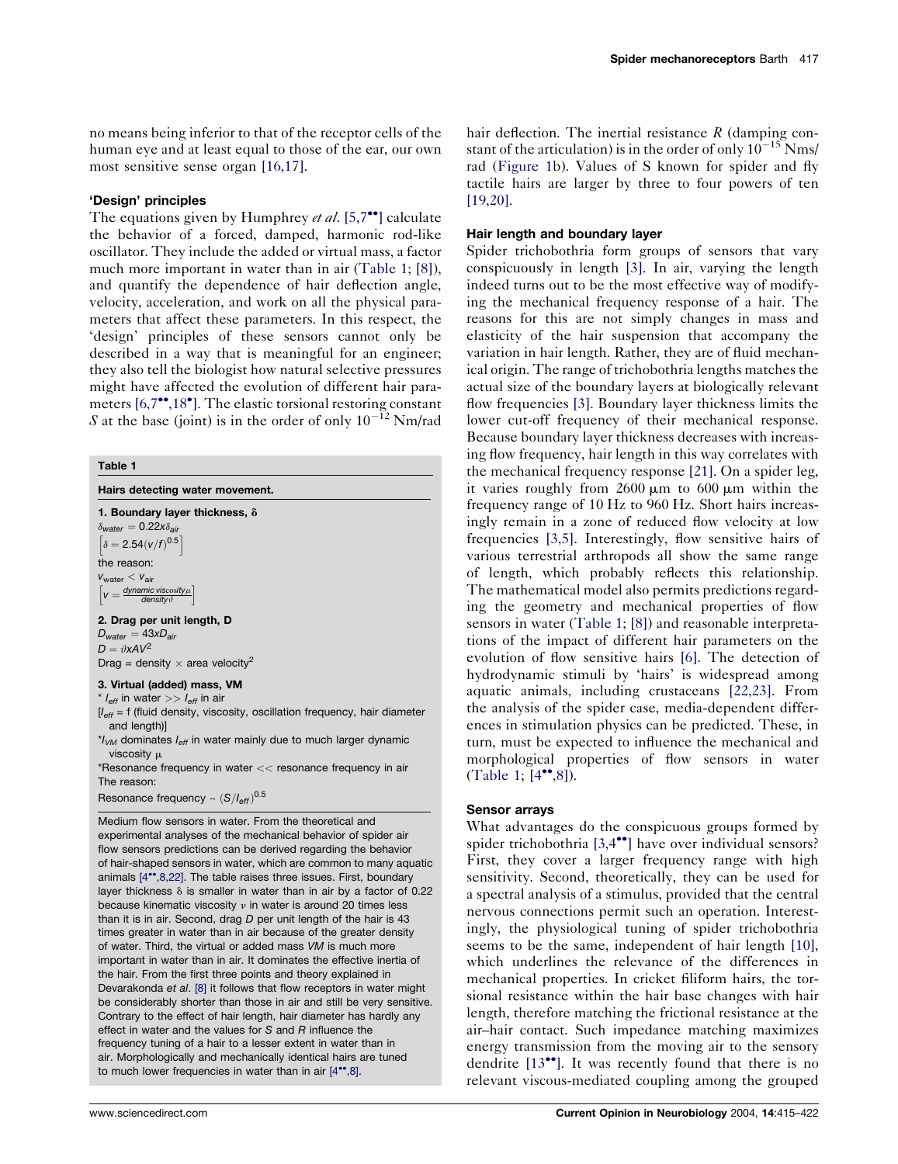no means being inferior to that of the receptor cells of the human eye and at least equal to those of the ear, our own most sensitive sense organ [\[16,17\]](#page-6-0).

#### 'Design' principles

The equations given by Humphrey *et al.* [\[5,7](#page-6-0)<sup> $\bullet$ </sup>[\]](#page-6-0) calculate the behavior of a forced, damped, harmonic rod-like oscillator. They include the added or virtual mass, a factor much more important in water than in air (Table 1; [\[8\]](#page-6-0)), and quantify the dependence of hair deflection angle, velocity, acceleration, and work on all the physical parameters that affect these parameters. In this respect, the 'design' principles of these sensors cannot only be described in a way that is meaningful for an engineer; they also tell the biologist how natural selective pressures might have affected the evolution of different hair para-meters [\[6,7](#page-6-0)\*\*[,18](#page-6-0)\*[\].](#page-6-0) The elastic torsional restoring constant S at the base (joint) is in the order of only  $10^{-12}$  Nm/rad

#### Table 1

| Hairs detecting water movement.                                                                     |
|-----------------------------------------------------------------------------------------------------|
| 1. Boundary layer thickness, $\delta$                                                               |
| $\delta_{\text{water}} = 0.22 x \delta_{\text{air}}$                                                |
| $\left[\delta = 2.54 (v/f)^{0.5}\right]$                                                            |
| the reason:                                                                                         |
| $V_{\text{water}} < V_{\text{air}}$                                                                 |
| $v = \frac{dynamic \text{ viscosity}\mu}{density}\right $                                           |
| 2. Drag per unit length, D                                                                          |
| $D_{water} = 43 \text{x} D_{air}$                                                                   |
| $D = \vartheta x A V^2$                                                                             |
| Drag = density $\times$ area velocity <sup>2</sup>                                                  |
| 3. Virtual (added) mass, VM                                                                         |
| $*$ $l_{\text{eff}}$ in water $>>$ $l_{\text{eff}}$ in air                                          |
| $I_{\text{eff}}$ = f (fluid density, viscosity, oscillation frequency, hair diameter<br>and length) |
| $\gamma_{VM}$ dominates $I_{\text{eff}}$ in water mainly due to much larger dynamic                 |

 $^{\star}\!\! I_{\mathcal{V}\mathcal{M}}$  dominates  $I_{\mathsf{eff}}$  in water mainly due to much larger dynamic viscosity u

\*Resonance frequency in water << resonance frequency in air The reason:

Resonance frequency ~  $(S/I_{\text{eff}})^{0.5}$ 

Medium flow sensors in water. From the theoretical and experimental analyses of the mechanical behavior of spider air flow sensors predictions can be derived regarding the behavior of hair-shaped sensors in water, which are common to many aquatic animals [\[4](#page-6-0)\*\*[,8,22\]](#page-6-0). The table raises three issues. First, boundary layer thickness  $\delta$  is smaller in water than in air by a factor of 0.22 because kinematic viscosity  $\nu$  in water is around 20 times less than it is in air. Second, drag  $D$  per unit length of the hair is  $43$ times greater in water than in air because of the greater density of water. Third, the virtual or added mass VM is much more important in water than in air. It dominates the effective inertia of the hair. From the first three points and theory explained in Devarakonda et al. [\[8\]](#page-6-0) it follows that flow receptors in water might be considerably shorter than those in air and still be very sensitive. Contrary to the effect of hair length, hair diameter has hardly any effect in water and the values for S and R influence the frequency tuning of a hair to a lesser extent in water than in air. Morphologically and mechanically identical hairs are tuned to much lower frequencies in water than in air  $[4^{\bullet\bullet}.8]$  $[4^{\bullet\bullet}.8]$ .

hair deflection. The inertial resistance  $R$  (damping constant of the articulation) is in the order of only  $10^{-15}$  Nms/ rad [\(Figure 1](#page-1-0)b). Values of S known for spider and fly tactile hairs are larger by three to four powers of ten [\[19,20\]](#page-6-0).

#### Hair length and boundary layer

Spider trichobothria form groups of sensors that vary conspicuously in length [\[3\]](#page-6-0). In air, varying the length indeed turns out to be the most effective way of modifying the mechanical frequency response of a hair. The reasons for this are not simply changes in mass and elasticity of the hair suspension that accompany the variation in hair length. Rather, they are of fluid mechanical origin. The range of trichobothria lengths matches the actual size of the boundary layers at biologically relevant flow frequencies [\[3\].](#page-6-0) Boundary layer thickness limits the lower cut-off frequency of their mechanical response. Because boundary layer thickness decreases with increasing flow frequency, hair length in this way correlates with the mechanical frequency response [\[21\]](#page-6-0). On a spider leg, it varies roughly from  $2600 \mu m$  to  $600 \mu m$  within the frequency range of 10 Hz to 960 Hz. Short hairs increasingly remain in a zone of reduced flow velocity at low frequencies [\[3,5\].](#page-6-0) Interestingly, flow sensitive hairs of various terrestrial arthropods all show the same range of length, which probably reflects this relationship. The mathematical model also permits predictions regarding the geometry and mechanical properties of flow sensors in water (Table 1; [\[8\]\)](#page-6-0) and reasonable interpretations of the impact of different hair parameters on the evolution of flow sensitive hairs [\[6\].](#page-6-0) The detection of hydrodynamic stimuli by 'hairs' is widespread among aquatic animals, including crustaceans [\[22,23\]](#page-6-0). From the analysis of the spider case, media-dependent differences in stimulation physics can be predicted. These, in turn, must be expected to influence the mechanical and morphological properties of flow sensors in water (Table 1;  $[4^{\bullet\bullet}, 8]$  $[4^{\bullet\bullet}, 8]$ ).

#### Sensor arrays

What advantages do the conspicuous groups formed by spider trichobothria  $[3,4^{\bullet\bullet}]$  $[3,4^{\bullet\bullet}]$  $[3,4^{\bullet\bullet}]$  have over individual sensors? First, they cover a larger frequency range with high sensitivity. Second, theoretically, they can be used for a spectral analysis of a stimulus, provided that the central nervous connections permit such an operation. Interestingly, the physiological tuning of spider trichobothria seems to be the same, independent of hair length [\[10\],](#page-6-0) which underlines the relevance of the differences in mechanical properties. In cricket filiform hairs, the torsional resistance within the hair base changes with hair length, therefore matching the frictional resistance at the air–hair contact. Such impedance matching maximizes energy transmission from the moving air to the sensory dendrite  $[13\bullet]$  $[13\bullet]$ . It was recently found that there is no relevant viscous-mediated coupling among the grouped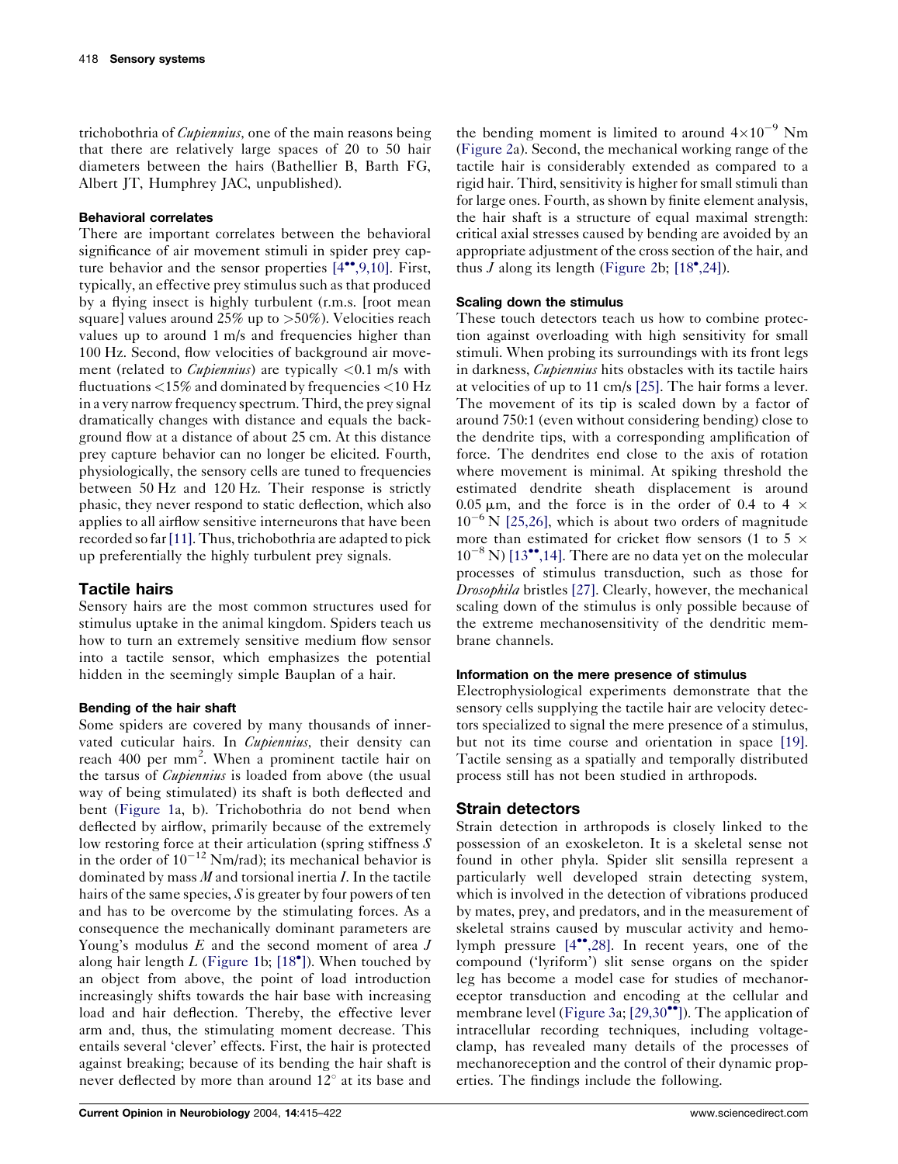trichobothria of *Cupiennius*, one of the main reasons being that there are relatively large spaces of 20 to 50 hair diameters between the hairs (Bathellier B, Barth FG, Albert JT, Humphrey JAC, unpublished).

## Behavioral correlates

There are important correlates between the behavioral significance of air movement stimuli in spider prey capture behavior and the sensor properties  $[4^{\bullet\bullet}, 9, 10]$  $[4^{\bullet\bullet}, 9, 10]$ . First, typically, an effective prey stimulus such as that produced by a flying insect is highly turbulent (r.m.s. [root mean square] values around  $25\%$  up to  $>50\%$ ). Velocities reach values up to around 1 m/s and frequencies higher than 100 Hz. Second, flow velocities of background air movement (related to *Cupiennius*) are typically  $\langle 0.1 \text{ m/s} \text{ with}$ fluctuations  $<$ 15% and dominated by frequencies  $<$ 10 Hz in a very narrow frequency spectrum. Third, the prey signal dramatically changes with distance and equals the background flow at a distance of about 25 cm. At this distance prey capture behavior can no longer be elicited. Fourth, physiologically, the sensory cells are tuned to frequencies between 50 Hz and 120 Hz. Their response is strictly phasic, they never respond to static deflection, which also applies to all airflow sensitive interneurons that have been recorded so far[\[11\]](#page-6-0). Thus, trichobothria are adapted to pick up preferentially the highly turbulent prey signals.

# Tactile hairs

Sensory hairs are the most common structures used for stimulus uptake in the animal kingdom. Spiders teach us how to turn an extremely sensitive medium flow sensor into a tactile sensor, which emphasizes the potential hidden in the seemingly simple Bauplan of a hair.

# Bending of the hair shaft

Some spiders are covered by many thousands of innervated cuticular hairs. In *Cupiennius*, their density can reach 400 per mm<sup>2</sup>. When a prominent tactile hair on the tarsus of *Cupiennius* is loaded from above (the usual way of being stimulated) its shaft is both deflected and bent [\(Figure 1](#page-1-0)a, b). Trichobothria do not bend when deflected by airflow, primarily because of the extremely low restoring force at their articulation (spring stiffness S in the order of  $10^{-12}$  Nm/rad); its mechanical behavior is dominated by mass  $M$  and torsional inertia  $I$ . In the tactile hairs of the same species,  $S$  is greater by four powers of ten and has to be overcome by the stimulating forces. As a consequence the mechanically dominant parameters are Young's modulus  $E$  and the second moment of area  $J$ along hair length  $L$  [\(Figure 1b](#page-1-0); [\[18](#page-6-0)<sup>\*</sup>[\]\)](#page-6-0). When touched by an object from above, the point of load introduction increasingly shifts towards the hair base with increasing load and hair deflection. Thereby, the effective lever arm and, thus, the stimulating moment decrease. This entails several 'clever' effects. First, the hair is protected against breaking; because of its bending the hair shaft is never deflected by more than around  $12^{\circ}$  at its base and

the bending moment is limited to around  $4 \times 10^{-9}$  Nm [\(Figure 2](#page-4-0)a). Second, the mechanical working range of the tactile hair is considerably extended as compared to a rigid hair. Third, sensitivity is higher for small stimuli than for large ones. Fourth, as shown by finite element analysis, the hair shaft is a structure of equal maximal strength: critical axial stresses caused by bending are avoided by an appropriate adjustment of the cross section of the hair, and thus  $\tilde{J}$  along its length [\(Figure 2b](#page-4-0); [\[18](#page-6-0)°[,24\]](#page-6-0)).

## Scaling down the stimulus

These touch detectors teach us how to combine protection against overloading with high sensitivity for small stimuli. When probing its surroundings with its front legs in darkness, Cupiennius hits obstacles with its tactile hairs at velocities of up to 11 cm/s [\[25\]](#page-7-0). The hair forms a lever. The movement of its tip is scaled down by a factor of around 750:1 (even without considering bending) close to the dendrite tips, with a corresponding amplification of force. The dendrites end close to the axis of rotation where movement is minimal. At spiking threshold the estimated dendrite sheath displacement is around 0.05  $\mu$ m, and the force is in the order of 0.4 to 4  $\times$  $10^{-6}$  N [\[25,26\],](#page-7-0) which is about two orders of magnitude more than estimated for cricket flow sensors (1 to 5  $\times$  $10^{-8}$  N) [\[13](#page-6-0)<sup> $\bullet$ </sup>[,14\].](#page-6-0) There are no data yet on the molecular processes of stimulus transduction, such as those for Drosophila bristles [\[27\]](#page-7-0). Clearly, however, the mechanical scaling down of the stimulus is only possible because of the extreme mechanosensitivity of the dendritic membrane channels.

## Information on the mere presence of stimulus

Electrophysiological experiments demonstrate that the sensory cells supplying the tactile hair are velocity detectors specialized to signal the mere presence of a stimulus, but not its time course and orientation in space [\[19\].](#page-6-0) Tactile sensing as a spatially and temporally distributed process still has not been studied in arthropods.

# Strain detectors

Strain detection in arthropods is closely linked to the possession of an exoskeleton. It is a skeletal sense not found in other phyla. Spider slit sensilla represent a particularly well developed strain detecting system, which is involved in the detection of vibrations produced by mates, prey, and predators, and in the measurement of skeletal strains caused by muscular activity and hemo-lymph pressure [\[4](#page-6-0)\*[,28\].](#page-6-0) In recent years, one of the compound ('lyriform') slit sense organs on the spider leg has become a model case for studies of mechanoreceptor transduction and encoding at the cellular and membrane level ([Figure 3](#page-5-0)a;  $[29,30$ <sup> $\bullet$ </sup>[\]\)](#page-7-0). The application of intracellular recording techniques, including voltageclamp, has revealed many details of the processes of mechanoreception and the control of their dynamic properties. The findings include the following.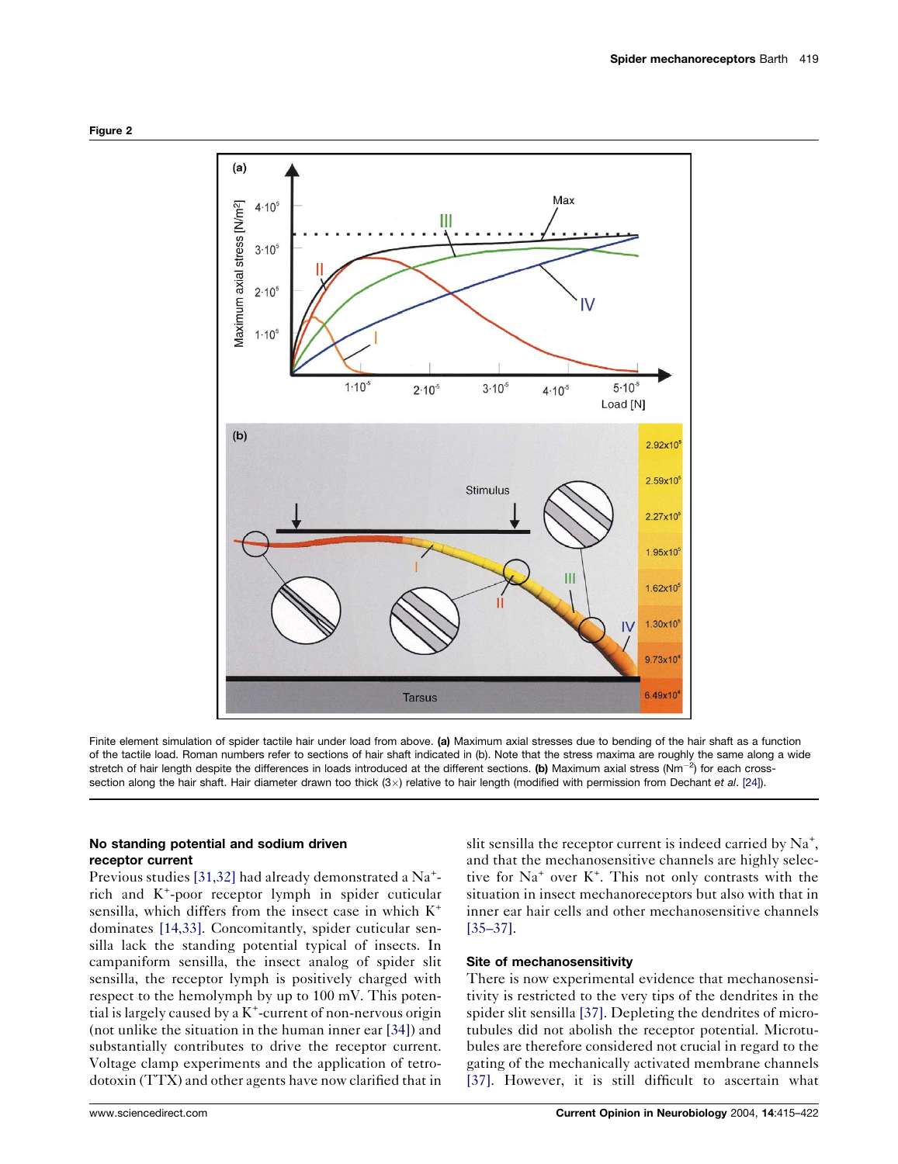<span id="page-4-0"></span>

Finite element simulation of spider tactile hair under load from above. (a) Maximum axial stresses due to bending of the hair shaft as a function of the tactile load. Roman numbers refer to sections of hair shaft indicated in (b). Note that the stress maxima are roughly the same along a wide stretch of hair length despite the differences in loads introduced at the different sections. (b) Maximum axial stress (Nm<sup>-2</sup>) for each crosssection along the hair shaft. Hair diameter drawn too thick (3 $\times$ ) relative to hair length (modified with permission from Dechant et al. [\[24\]\)](#page-7-0).

## No standing potential and sodium driven receptor current

Previous studies [\[31,32\]](#page-7-0) had already demonstrated a Na<sup>+</sup>rich and K<sup>+</sup> -poor receptor lymph in spider cuticular sensilla, which differs from the insect case in which  $K^+$ dominates [\[14,33\].](#page-6-0) Concomitantly, spider cuticular sensilla lack the standing potential typical of insects. In campaniform sensilla, the insect analog of spider slit sensilla, the receptor lymph is positively charged with respect to the hemolymph by up to 100 mV. This poten- $\frac{1}{10}$  is largely caused by a K<sup>+</sup>-current of non-nervous origin (not unlike the situation in the human inner ear [\[34\]](#page-7-0)) and substantially contributes to drive the receptor current. Voltage clamp experiments and the application of tetrodotoxin (TTX) and other agents have now clarified that in

slit sensilla the receptor current is indeed carried by  $Na^{+}$ , and that the mechanosensitive channels are highly selective for  $Na<sup>+</sup>$  over  $K<sup>+</sup>$ . This not only contrasts with the situation in insect mechanoreceptors but also with that in inner ear hair cells and other mechanosensitive channels [\[35–37\].](#page-7-0)

#### Site of mechanosensitivity

There is now experimental evidence that mechanosensitivity is restricted to the very tips of the dendrites in the spider slit sensilla [\[37\].](#page-7-0) Depleting the dendrites of microtubules did not abolish the receptor potential. Microtubules are therefore considered not crucial in regard to the gating of the mechanically activated membrane channels [\[37\].](#page-7-0) However, it is still difficult to ascertain what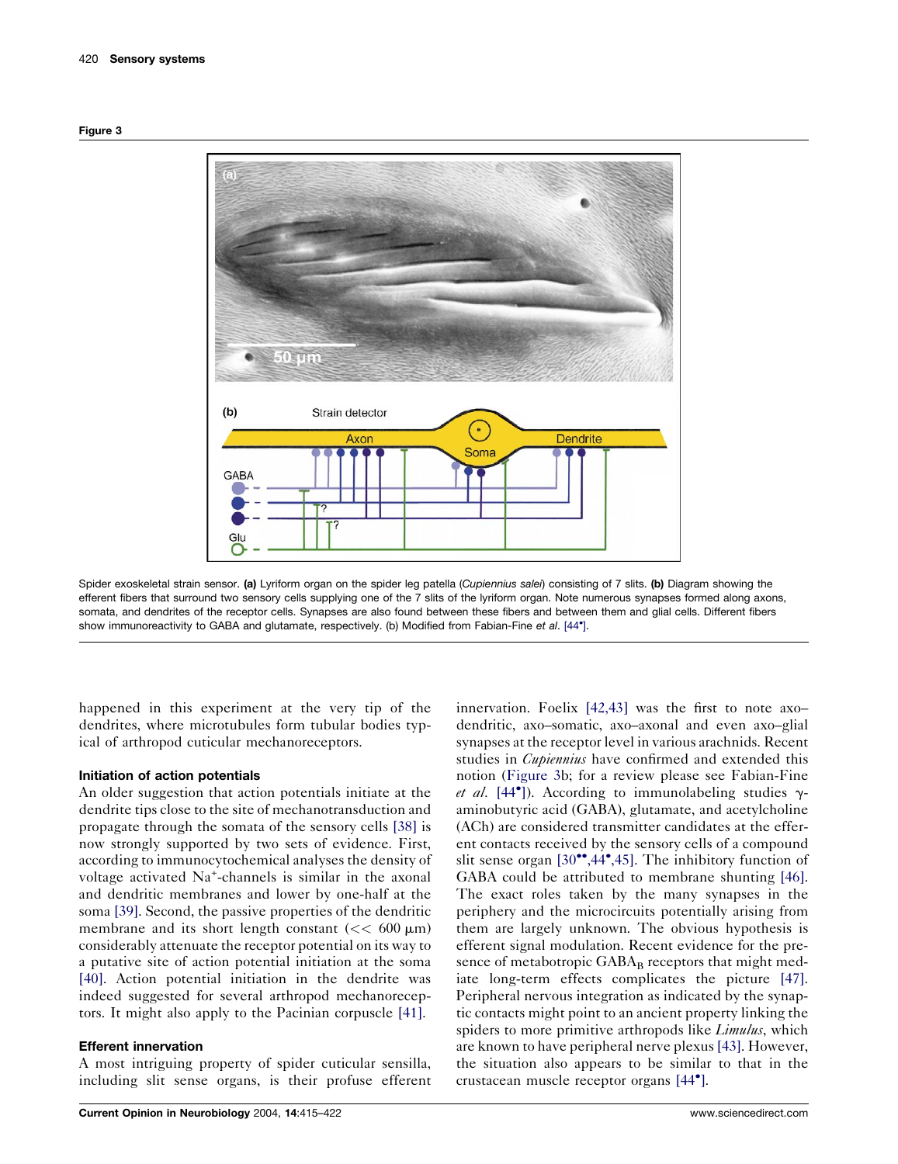<span id="page-5-0"></span>



Spider exoskeletal strain sensor. (a) Lyriform organ on the spider leg patella (Cupiennius salei) consisting of 7 slits. (b) Diagram showing the efferent fibers that surround two sensory cells supplying one of the 7 slits of the lyriform organ. Note numerous synapses formed along axons, somata, and dendrites of the receptor cells. Synapses are also found between these fibers and between them and glial cells. Different fibers show immunoreactivity to GABA and glutamate, respectively. (b) Modified from Fabian-Fine et al. [\[44](#page-7-0)<sup>\*</sup>[\].](#page-7-0)

happened in this experiment at the very tip of the dendrites, where microtubules form tubular bodies typical of arthropod cuticular mechanoreceptors.

## Initiation of action potentials

An older suggestion that action potentials initiate at the dendrite tips close to the site of mechanotransduction and propagate through the somata of the sensory cells [\[38\]](#page-7-0) is now strongly supported by two sets of evidence. First, according to immunocytochemical analyses the density of voltage activated Na<sup>+</sup>-channels is similar in the axonal and dendritic membranes and lower by one-half at the soma [\[39\]](#page-7-0). Second, the passive properties of the dendritic membrane and its short length constant  $\ll 600 \text{ }\mu\text{m}$ ) considerably attenuate the receptor potential on its way to a putative site of action potential initiation at the soma [\[40\]](#page-7-0). Action potential initiation in the dendrite was indeed suggested for several arthropod mechanoreceptors. It might also apply to the Pacinian corpuscle [\[41\]](#page-7-0).

#### Efferent innervation

A most intriguing property of spider cuticular sensilla, including slit sense organs, is their profuse efferent

innervation. Foelix [\[42,43\]](#page-7-0) was the first to note axo– dendritic, axo–somatic, axo–axonal and even axo–glial synapses at the receptor level in various arachnids. Recent studies in *Cupiennius* have confirmed and extended this notion (Figure 3b; for a review please see Fabian-Fine et al. [\[44](#page-7-0)<sup>°</sup>[\]\)](#page-7-0). According to immunolabeling studies  $\gamma$ aminobutyric acid (GABA), glutamate, and acetylcholine (ACh) are considered transmitter candidates at the efferent contacts received by the sensory cells of a compound slit sense organ  $[30^{\bullet\bullet}, 44^{\bullet}, 45]$  $[30^{\bullet\bullet}, 44^{\bullet}, 45]$ . The inhibitory function of GABA could be attributed to membrane shunting [\[46\].](#page-7-0) The exact roles taken by the many synapses in the periphery and the microcircuits potentially arising from them are largely unknown. The obvious hypothesis is efferent signal modulation. Recent evidence for the presence of metabotropic  $GABA_B$  receptors that might mediate long-term effects complicates the picture [\[47\].](#page-7-0) Peripheral nervous integration as indicated by the synaptic contacts might point to an ancient property linking the spiders to more primitive arthropods like *Limulus*, which are known to have peripheral nerve plexus [\[43\].](#page-7-0) However, the situation also appears to be similar to that in the crustacean muscle receptor organs [\[44](#page-7-0) [\]](#page-7-0).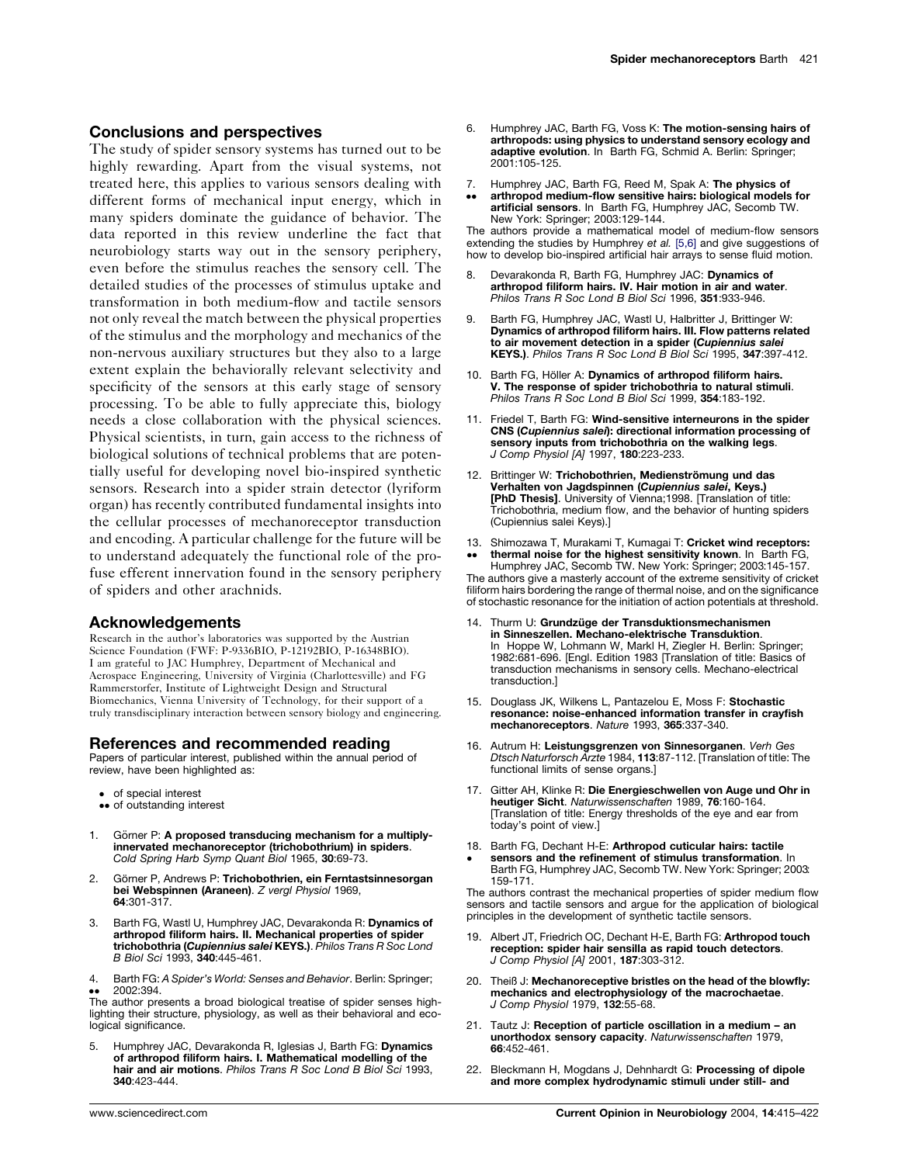#### <span id="page-6-0"></span>Conclusions and perspectives

The study of spider sensory systems has turned out to be highly rewarding. Apart from the visual systems, not treated here, this applies to various sensors dealing with different forms of mechanical input energy, which in many spiders dominate the guidance of behavior. The data reported in this review underline the fact that neurobiology starts way out in the sensory periphery, even before the stimulus reaches the sensory cell. The detailed studies of the processes of stimulus uptake and transformation in both medium-flow and tactile sensors not only reveal the match between the physical properties of the stimulus and the morphology and mechanics of the non-nervous auxiliary structures but they also to a large extent explain the behaviorally relevant selectivity and specificity of the sensors at this early stage of sensory processing. To be able to fully appreciate this, biology needs a close collaboration with the physical sciences. Physical scientists, in turn, gain access to the richness of biological solutions of technical problems that are potentially useful for developing novel bio-inspired synthetic sensors. Research into a spider strain detector (lyriform organ) has recently contributed fundamental insights into the cellular processes of mechanoreceptor transduction and encoding. A particular challenge for the future will be to understand adequately the functional role of the profuse efferent innervation found in the sensory periphery of spiders and other arachnids.

#### Acknowledgements

Research in the author's laboratories was supported by the Austrian Science Foundation (FWF: P-9336BIO, P-12192BIO, P-16348BIO). I am grateful to JAC Humphrey, Department of Mechanical and Aerospace Engineering, University of Virginia (Charlottesville) and FG Rammerstorfer, Institute of Lightweight Design and Structural Biomechanics, Vienna University of Technology, for their support of a truly transdisciplinary interaction between sensory biology and engineering.

#### References and recommended reading

Papers of particular interest, published within the annual period of review, have been highlighted as:

- of special interest
- •• of outstanding interest
- 1. Görner P: A proposed transducing mechanism for a multiplyinnervated mechanoreceptor (trichobothrium) in spiders. Cold Spring Harb Symp Quant Biol 1965, 30:69-73.
- 2. Görner P, Andrews P: Trichobothrien, ein Ferntastsinnesorgan bei Webspinnen (Araneen). Z vergl Physiol 1969, 64:301-317.
- Barth FG, Wastl U, Humphrey JAC, Devarakonda R: Dynamics of arthropod filiform hairs. II. Mechanical properties of spider trichobothria (Cupiennius salei KEYS.). Philos Trans R Soc Lond B Biol Sci 1993, 340:445-461.
- 4. Barth FG: A Spider's World: Senses and Behavior. Berlin: Springer; 2002:394.

 The author presents a broad biological treatise of spider senses highlighting their structure, physiology, as well as their behavioral and ecological significance.

Humphrey JAC, Devarakonda R, Iglesias J, Barth FG: Dynamics of arthropod filiform hairs. I. Mathematical modelling of the hair and air motions. Philos Trans R Soc Lond B Biol Sci 1993, 340:423-444.

- Humphrey JAC, Barth FG, Voss K: The motion-sensing hairs of arthropods: using physics to understand sensory ecology and adaptive evolution. In Barth FG, Schmid A, Berlin: Springer: 2001:105-125.
- 7. Humphrey JAC, Barth FG, Reed M, Spak A: The physics of
- $\bullet \bullet$ arthropod medium-flow sensitive hairs: biological models for artificial sensors. In Barth FG, Humphrey JAC, Secomb TW. New York: Springer; 2003:129-144.

The authors provide a mathematical model of medium-flow sensors extending the studies by Humphrey et al. [5,6] and give suggestions of how to develop bio-inspired artificial hair arrays to sense fluid motion.

- Devarakonda R, Barth FG, Humphrey JAC: Dynamics of arthropod filiform hairs. IV. Hair motion in air and water. Philos Trans R Soc Lond B Biol Sci 1996, 351:933-946.
- 9. Barth FG, Humphrey JAC, Wastl U, Halbritter J, Brittinger W: Dynamics of arthropod filiform hairs. III. Flow patterns related to air movement detection in a spider (Cupiennius salei KEYS.). Philos Trans R Soc Lond B Biol Sci 1995, 347:397-412.
- 10. Barth FG, Höller A: Dynamics of arthropod filiform hairs. V. The response of spider trichobothria to natural stimuli. Philos Trans R Soc Lond B Biol Sci 1999, 354:183-192.
- 11. Friedel T, Barth FG: Wind-sensitive interneurons in the spider CNS (Cupiennius salei): directional information processing of sensory inputs from trichobothria on the walking legs. J Comp Physiol [A] 1997, 180:223-233.
- 12. Brittinger W: Trichobothrien, Medienströmung und das Verhalten von Jagdspinnen (Cupiennius salei, Keys.) [PhD Thesis]. University of Vienna;1998. [Translation of title: Trichobothria, medium flow, and the behavior of hunting spiders (Cupiennius salei Keys).]
- 13. Shimozawa T, Murakami T, Kumagai T: Cricket wind receptors:  $\bullet\bullet$ thermal noise for the highest sensitivity known. In Barth FG,

Humphrey JAC, Secomb TW. New York: Springer; 2003:145-157. The authors give a masterly account of the extreme sensitivity of cricket filiform hairs bordering the range of thermal noise, and on the significance of stochastic resonance for the initiation of action potentials at threshold.

- 14. Thurm U: Grundzüge der Transduktionsmechanismen in Sinneszellen. Mechano-elektrische Transduktion. In Hoppe W, Lohmann W, Markl H, Ziegler H. Berlin: Springer; 1982:681-696. [Engl. Edition 1983 [Translation of title: Basics of transduction mechanisms in sensory cells. Mechano-electrical transduction.]
- 15. Douglass JK, Wilkens L, Pantazelou E, Moss F: Stochastic resonance: noise-enhanced information transfer in crayfish mechanoreceptors. Nature 1993, 365:337-340.
- 16. Autrum H: Leistungsgrenzen von Sinnesorganen. Verh Ges Dtsch Naturforsch Arzte 1984, 113:87-112. [Translation of title: The functional limits of sense organs.]
- 17. Gitter AH, Klinke R: Die Energieschwellen von Auge und Ohr in heutiger Sicht. Naturwissenschaften 1989, 76:160-164. [Translation of title: Energy thresholds of the eye and ear from today's point of view.]
- 18. Barth FG, Dechant H-E: Arthropod cuticular hairs: tactile  $\bullet$ sensors and the refinement of stimulus transformation. In Barth FG, Humphrey JAC, Secomb TW. New York: Springer; 2003: 159-171.

The authors contrast the mechanical properties of spider medium flow sensors and tactile sensors and argue for the application of biological principles in the development of synthetic tactile sensors.

- 19. Albert JT, Friedrich OC, Dechant H-E, Barth FG: Arthropod touch reception: spider hair sensilla as rapid touch detectors. J Comp Physiol [A] 2001, 187:303-312.
- 20. Theiß J: Mechanoreceptive bristles on the head of the blowfly: mechanics and electrophysiology of the macrochaetae. J Comp Physiol 1979, 132:55-68.
- 21. Tautz J: Reception of particle oscillation in a medium an unorthodox sensory capacity. Naturwissenschaften 1979, 66:452-461.
- 22. Bleckmann H, Mogdans J, Dehnhardt G: Processing of dipole and more complex hydrodynamic stimuli under still- and